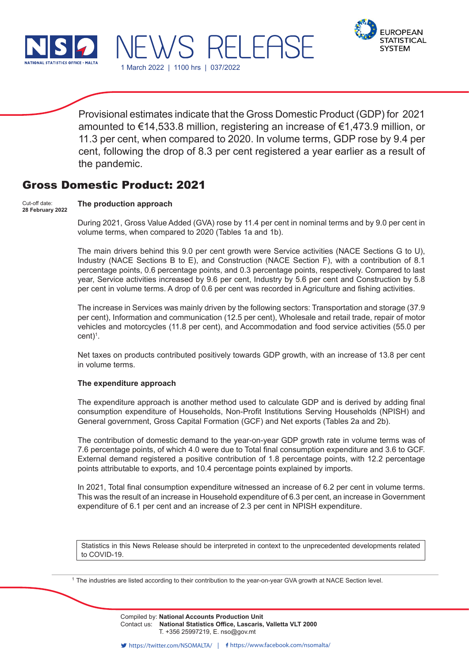



Provisional estimates indicate that the Gross Domestic Product (GDP) for 2021 amounted to €14,533.8 million, registering an increase of €1,473.9 million, or 11.3 per cent, when compared to 2020. In volume terms, GDP rose by 9.4 per cent, following the drop of 8.3 per cent registered a year earlier as a result of the pandemic.

1 March 2022 | 1100 hrs | 037/2022

WS RELEA!

# Gross Domestic Product: 2021

#### **The production approach** Cut-off date: **28 February 2022**

During 2021, Gross Value Added (GVA) rose by 11.4 per cent in nominal terms and by 9.0 per cent in volume terms, when compared to 2020 (Tables 1a and 1b).

The main drivers behind this 9.0 per cent growth were Service activities (NACE Sections G to U), Industry (NACE Sections B to E), and Construction (NACE Section F), with a contribution of 8.1 percentage points, 0.6 percentage points, and 0.3 percentage points, respectively. Compared to last year, Service activities increased by 9.6 per cent, Industry by 5.6 per cent and Construction by 5.8 per cent in volume terms. A drop of 0.6 per cent was recorded in Agriculture and fishing activities.

The increase in Services was mainly driven by the following sectors: Transportation and storage (37.9 per cent), Information and communication (12.5 per cent), Wholesale and retail trade, repair of motor vehicles and motorcycles (11.8 per cent), and Accommodation and food service activities (55.0 per cent)<sup>1</sup>.

Net taxes on products contributed positively towards GDP growth, with an increase of 13.8 per cent in volume terms.

#### **The expenditure approach**

The expenditure approach is another method used to calculate GDP and is derived by adding final consumption expenditure of Households, Non-Profit Institutions Serving Households (NPISH) and General government, Gross Capital Formation (GCF) and Net exports (Tables 2a and 2b).

The contribution of domestic demand to the year-on-year GDP growth rate in volume terms was of 7.6 percentage points, of which 4.0 were due to Total final consumption expenditure and 3.6 to GCF. External demand registered a positive contribution of 1.8 percentage points, with 12.2 percentage points attributable to exports, and 10.4 percentage points explained by imports.

In 2021, Total final consumption expenditure witnessed an increase of 6.2 per cent in volume terms. This was the result of an increase in Household expenditure of 6.3 per cent, an increase in Government expenditure of 6.1 per cent and an increase of 2.3 per cent in NPISH expenditure.

Statistics in this News Release should be interpreted in context to the unprecedented developments related to COVID-19.

<sup>1</sup> The industries are listed according to their contribution to the year-on-year GVA growth at NACE Section level.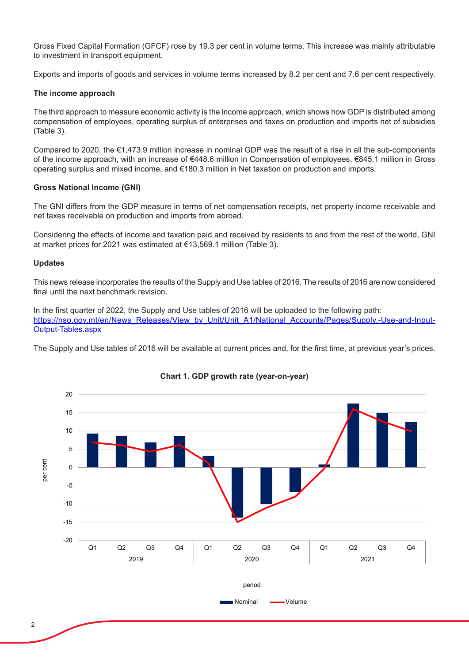Gross Fixed Capital Formation (GFCF) rose by 19.3 per cent in volume terms. This increase was mainly attributable to investment in transport equipment.

Exports and imports of goods and services in volume terms increased by 8.2 per cent and 7.6 per cent respectively.

### **The income approach**

The third approach to measure economic activity is the income approach, which shows how GDP is distributed among compensation of employees, operating surplus of enterprises and taxes on production and imports net of subsidies (Table 3).

Compared to 2020, the €1,473.9 million increase in nominal GDP was the result of a rise in all the sub-components of the income approach, with an increase of €448.6 million in Compensation of employees, €845.1 million in Gross operating surplus and mixed income, and €180.3 million in Net taxation on production and imports.

### **Gross National Income (GNI)**

The GNI differs from the GDP measure in terms of net compensation receipts, net property income receivable and net taxes receivable on production and imports from abroad.

Considering the effects of income and taxation paid and received by residents to and from the rest of the world, GNI at market prices for 2021 was estimated at €13,569.1 million (Table 3).

#### **Updates**

This news release incorporates the results of the Supply and Use tables of 2016. The results of 2016 are now considered final until the next benchmark revision.

In the first quarter of 2022, the Supply and Use tables of 2016 will be uploaded to the following path: https://nso.gov.mt/en/News\_Releases/View\_by\_Unit/Unit\_A1/National\_Accounts/Pages/Supply,-Use-and-Input-Output-Tables.aspx

The Supply and Use tables of 2016 will be available at current prices and, for the first time, at previous year's prices.



## **Chart 1. GDP growth rate (year-on-year)**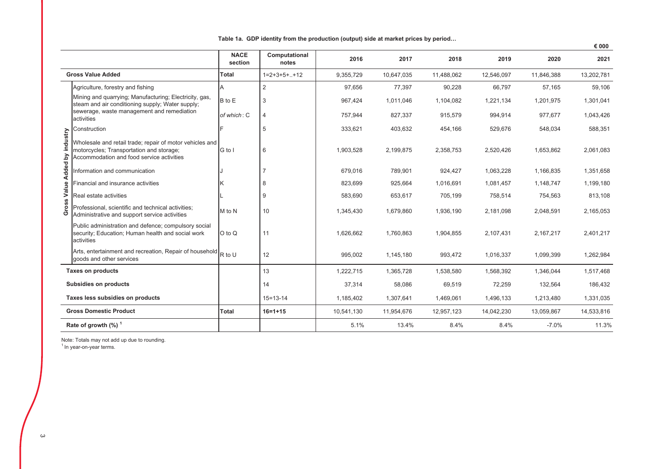|  |  | Table 1a. GDP identity from the production (output) side at market prices by period |
|--|--|-------------------------------------------------------------------------------------|
|  |  |                                                                                     |

|                |                                                                                                                                                   |                        |                        |            |            |            |            |            | € 000      |
|----------------|---------------------------------------------------------------------------------------------------------------------------------------------------|------------------------|------------------------|------------|------------|------------|------------|------------|------------|
|                |                                                                                                                                                   | <b>NACE</b><br>section | Computational<br>notes | 2016       | 2017       | 2018       | 2019       | 2020       | 2021       |
|                | <b>Gross Value Added</b>                                                                                                                          | <b>Total</b>           | $1=2+3+5++12$          | 9,355,729  | 10,647,035 | 11,488,062 | 12,546,097 | 11,846,388 | 13,202,781 |
|                | Agriculture, forestry and fishing                                                                                                                 | A                      | 2                      | 97,656     | 77,397     | 90,228     | 66,797     | 57,165     | 59,106     |
|                | Mining and quarrying; Manufacturing; Electricity, gas,<br>steam and air conditioning supply; Water supply;                                        | B to E                 | 3                      | 967,424    | 1,011,046  | 1,104,082  | 1,221,134  | 1,201,975  | 1,301,041  |
|                | sewerage, waste management and remediation<br>activities                                                                                          | of which: C            | 4                      | 757,944    | 827,337    | 915,579    | 994,914    | 977,677    | 1,043,426  |
|                | Construction                                                                                                                                      |                        | 5                      | 333,621    | 403,632    | 454,166    | 529,676    | 548,034    | 588,351    |
| industry       | Wholesale and retail trade; repair of motor vehicles and<br>motorcycles; Transportation and storage;<br>Accommodation and food service activities | G to I                 | 6                      | 1,903,528  | 2,199,875  | 2,358,753  | 2,520,426  | 1,653,862  | 2,061,083  |
|                | Information and communication                                                                                                                     |                        |                        | 679,016    | 789,901    | 924,427    | 1,063,228  | 1,166,835  | 1,351,658  |
| Value Added by | Financial and insurance activities                                                                                                                |                        | 8                      | 823,699    | 925,664    | 1,016,691  | 1,081,457  | 1,148,747  | 1,199,180  |
|                | Real estate activities                                                                                                                            |                        | 9                      | 583,690    | 653,617    | 705,199    | 758,514    | 754,563    | 813,108    |
| Gross          | Professional, scientific and technical activities;<br>Administrative and support service activities                                               | M to N                 | 10                     | 1,345,430  | 1,679,860  | 1,936,190  | 2,181,098  | 2,048,591  | 2,165,053  |
|                | Public administration and defence; compulsory social<br>security; Education; Human health and social work<br>activities                           | O to Q                 | 11                     | 1,626,662  | 1,760,863  | 1,904,855  | 2,107,431  | 2,167,217  | 2,401,217  |
|                | Arts, entertainment and recreation, Repair of household $R$ to U<br>goods and other services                                                      |                        | 12                     | 995,002    | 1,145,180  | 993,472    | 1,016,337  | 1,099,399  | 1,262,984  |
|                | <b>Taxes on products</b>                                                                                                                          |                        | 13                     | 1,222,715  | 1,365,728  | 1,538,580  | 1,568,392  | 1,346,044  | 1,517,468  |
|                | Subsidies on products                                                                                                                             |                        | 14                     | 37,314     | 58,086     | 69,519     | 72,259     | 132,564    | 186,432    |
|                | Taxes less subsidies on products                                                                                                                  |                        | $15 = 13 - 14$         | 1,185,402  | 1,307,641  | 1,469,061  | 1,496,133  | 1,213,480  | 1,331,035  |
|                | <b>Gross Domestic Product</b>                                                                                                                     | <b>Total</b>           | $16 = 1 + 15$          | 10,541,130 | 11,954,676 | 12,957,123 | 14,042,230 | 13,059,867 | 14,533,816 |
|                | Rate of growth $(\%)$ <sup>1</sup>                                                                                                                |                        |                        | 5.1%       | 13.4%      | 8.4%       | 8.4%       | $-7.0%$    | 11.3%      |
|                |                                                                                                                                                   |                        |                        |            |            |            |            |            |            |

Note: Totals may not add up due to rounding.<br><sup>1</sup> In year-on-year terms.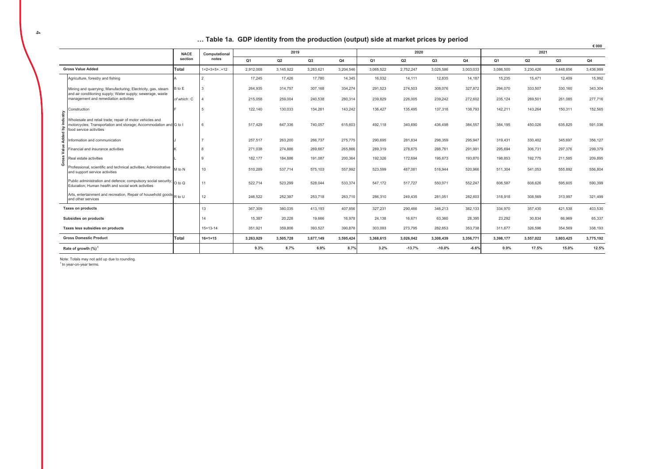#### ... Table 1a. GDP identity from the production (output) side at market prices by period

|          |                                                                                                                                                          |             |                 |                |           |           |                |           |           |           |                |                |           |           | € 000     |
|----------|----------------------------------------------------------------------------------------------------------------------------------------------------------|-------------|-----------------|----------------|-----------|-----------|----------------|-----------|-----------|-----------|----------------|----------------|-----------|-----------|-----------|
|          |                                                                                                                                                          | <b>NACE</b> | Computational   |                | 2019      |           |                |           | 2020      |           |                |                | 2021      |           |           |
|          |                                                                                                                                                          | section     | notes           | Q <sub>1</sub> | Q2        | Q3        | Q <sub>4</sub> | Q1        | Q2        | Q3        | Q <sub>4</sub> | Q <sub>1</sub> | Q2        | Q3        | Q4        |
|          | <b>Gross Value Added</b>                                                                                                                                 | Total       | $1=2+3+5++12$   | 2,912,008      | 3,145,922 | 3,283,621 | 3,204,546      | 3,065,522 | 2,752,247 | 3,025,586 | 3,003,033      | 3,086,500      | 3,230,426 | 3,448,856 | 3,436,999 |
|          | Agriculture, forestry and fishing                                                                                                                        |             |                 | 17.245         | 17,426    | 17,780    | 14,345         | 16,032    | 14,111    | 12,835    | 14,187         | 15,235         | 15.471    | 12.409    | 15,992    |
|          | Mining and quarrying; Manufacturing; Electricity, gas, steam<br>and air conditioning supply; Water supply; sewerage, waste                               | B to E      |                 | 264,935        | 314,757   | 307,168   | 334,274        | 291,523   | 274,503   | 308,076   | 327,872        | 294,070        | 333,507   | 330,160   | 343,304   |
|          | management and remediation activities                                                                                                                    | of which: C |                 | 215,058        | 259,004   | 240,538   | 280,314        | 239,829   | 226,005   | 239,242   | 272,602        | 235,124        | 269,501   | 261,085   | 277,716   |
|          | Construction                                                                                                                                             |             |                 | 122,140        | 130,033   | 134,261   | 143,242        | 136,427   | 135,495   | 137,318   | 138,793        | 142,211        | 143,264   | 150,311   | 152,565   |
| industry | Wholesale and retail trade; repair of motor vehicles and<br>motorcycles; Transportation and storage; Accommodation and G to I<br>food service activities |             | $6\overline{6}$ | 517.429        | 647,336   | 740,057   | 615,603        | 492.118   | 340,690   | 436,498   | 384,557        | 384.195        | 450.026   | 635,825   | 591,036   |
| Added by | nformation and communication                                                                                                                             |             |                 | 257,517        | 263,200   | 266,737   | 275,775        | 290,695   | 281,834   | 298,359   | 295,947        | 319,431        | 330,402   | 345,697   | 356,127   |
| Value    | inancial and insurance activities                                                                                                                        |             |                 | 271.038        | 274.886   | 269,667   | 265,866        | 289,319   | 278,675   | 288,761   | 291,991        | 295.694        | 306.731   | 297,376   | 299,379   |
| Gross    | Real estate activities                                                                                                                                   |             |                 | 182,177        | 184,886   | 191,087   | 200,364        | 192,326   | 172,694   | 195,673   | 193,870        | 198,853        | 192,775   | 211,585   | 209,895   |
|          | Professional, scientific and technical activities; Administrative<br>and support service activities                                                      | M to N      | 10              | 510,289        | 537,714   | 575,103   | 557,992        | 523,599   | 487,081   | 516,944   | 520,966        | 511,304        | 541,053   | 555,892   | 556,804   |
|          | Public administration and defence; compulsory social security; 0 to Q<br>Education: Human health and social work activities                              |             | 11              | 522,714        | 523,299   | 528,044   | 533,374        | 547,172   | 517,727   | 550,071   | 552,247        | 606,587        | 608.626   | 595,605   | 590,399   |
|          | Arts, entertainment and recreation, Repair of household goods R to U<br>and other services                                                               |             | 12              | 246,522        | 252,387   | 253,718   | 263,710        | 286,310   | 249,435   | 281,051   | 282,603        | 318,918        | 308,569   | 313,997   | 321,499   |
|          | <b>Taxes on products</b>                                                                                                                                 |             | 13              | 367,309        | 380,035   | 413,193   | 407,856        | 327,231   | 290,466   | 346,213   | 382,133        | 334,970        | 357.430   | 421,538   | 403,530   |
|          | Subsidies on products                                                                                                                                    |             | 14              | 15,387         | 20,228    | 19,666    | 16,978         | 24,138    | 16,671    | 63,360    | 28,395         | 23,292         | 30,834    | 66,969    | 65,337    |
|          | Taxes less subsidies on products                                                                                                                         |             | $15 = 13 - 14$  | 351,921        | 359,806   | 393,527   | 390,878        | 303,093   | 273,795   | 282,853   | 353,738        | 311,677        | 326,596   | 354,569   | 338,193   |
|          | <b>Gross Domestic Product</b>                                                                                                                            | Total       | $16 = 1 + 15$   | 3,263,929      | 3,505,728 | 3,677,149 | 3,595,424      | 3,368,615 | 3,026,042 | 3,308,439 | 3,356,771      | 3,398,177      | 3,557,022 | 3,803,425 | 3,775,192 |
|          | Rate of growth $(\%)$                                                                                                                                    |             |                 | 9.3%           | 8.7%      | 6.9%      | 8.7%           | 3.2%      | $-13.7%$  | $-10.0%$  | $-6.6%$        | 0.9%           | 17.5%     | 15.0%     | 12.5%     |

Note: Totals may not add up due to rounding. <sup>1</sup> In vear-on-vear terms.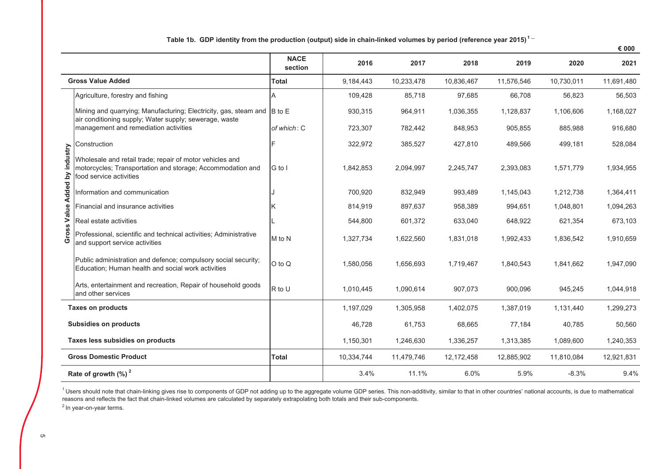|                               |                                                                                                                                                   |                        |            |            |            |            |            | € 000      |
|-------------------------------|---------------------------------------------------------------------------------------------------------------------------------------------------|------------------------|------------|------------|------------|------------|------------|------------|
|                               |                                                                                                                                                   | <b>NACE</b><br>section | 2016       | 2017       | 2018       | 2019       | 2020       | 2021       |
|                               | <b>Gross Value Added</b>                                                                                                                          | Total                  | 9,184,443  | 10,233,478 | 10,836,467 | 11,576,546 | 10,730,011 | 11,691,480 |
|                               | Agriculture, forestry and fishing                                                                                                                 | Α                      | 109,428    | 85,718     | 97,685     | 66,708     | 56,823     | 56,503     |
|                               | Mining and quarrying; Manufacturing; Electricity, gas, steam and B to E<br>air conditioning supply; Water supply; sewerage, waste                 |                        | 930,315    | 964,911    | 1,036,355  | 1,128,837  | 1,106,606  | 1,168,027  |
|                               | management and remediation activities                                                                                                             | of which: C            | 723,307    | 782,442    | 848,953    | 905,855    | 885,988    | 916,680    |
|                               | Construction                                                                                                                                      | Е                      | 322,972    | 385,527    | 427,810    | 489,566    | 499,181    | 528,084    |
| Gross Value Added by industry | Wholesale and retail trade; repair of motor vehicles and<br>motorcycles; Transportation and storage; Accommodation and<br>food service activities | G to I                 | 1,842,853  | 2,094,997  | 2,245,747  | 2,393,083  | 1,571,779  | 1,934,955  |
|                               | Information and communication                                                                                                                     |                        | 700,920    | 832,949    | 993,489    | 1,145,043  | 1,212,738  | 1,364,411  |
|                               | Financial and insurance activities                                                                                                                | Κ                      | 814,919    | 897,637    | 958,389    | 994,651    | 1,048,801  | 1,094,263  |
|                               | Real estate activities                                                                                                                            |                        | 544,800    | 601,372    | 633,040    | 648,922    | 621,354    | 673,103    |
|                               | Professional, scientific and technical activities; Administrative<br>and support service activities                                               | M to N                 | 1,327,734  | 1,622,560  | 1,831,018  | 1,992,433  | 1,836,542  | 1,910,659  |
|                               | Public administration and defence; compulsory social security;<br>Education; Human health and social work activities                              | O to Q                 | 1,580,056  | 1,656,693  | 1,719,467  | 1,840,543  | 1,841,662  | 1,947,090  |
|                               | Arts, entertainment and recreation, Repair of household goods<br>and other services                                                               | R to U                 | 1,010,445  | 1,090,614  | 907,073    | 900,096    | 945,245    | 1,044,918  |
|                               | <b>Taxes on products</b>                                                                                                                          |                        | 1,197,029  | 1,305,958  | 1,402,075  | 1,387,019  | 1,131,440  | 1,299,273  |
|                               | <b>Subsidies on products</b>                                                                                                                      |                        | 46,728     | 61,753     | 68,665     | 77,184     | 40,785     | 50,560     |
|                               | Taxes less subsidies on products                                                                                                                  |                        | 1,150,301  | 1,246,630  | 1,336,257  | 1,313,385  | 1,089,600  | 1,240,353  |
|                               | <b>Gross Domestic Product</b>                                                                                                                     | <b>Total</b>           | 10,334,744 | 11,479,746 | 12,172,458 | 12,885,902 | 11,810,084 | 12,921,831 |
|                               | Rate of growth $(\%)^2$                                                                                                                           |                        | 3.4%       | 11.1%      | 6.0%       | 5.9%       | $-8.3%$    | 9.4%       |

Table 1b. GDP identity from the production (output) side in chain-linked volumes by period (reference year 2015)<sup>1</sup><sup>---</sup>

<sup>1</sup> Users should note that chain-linking gives rise to components of GDP not adding up to the aggregate volume GDP series. This non-additivity, similar to that in other countries' national accounts, is due to mathematical reasons and reflects the fact that chain-linked volumes are calculated by separately extrapolating both totals and their sub-components.

 $2$  In year-on-year terms.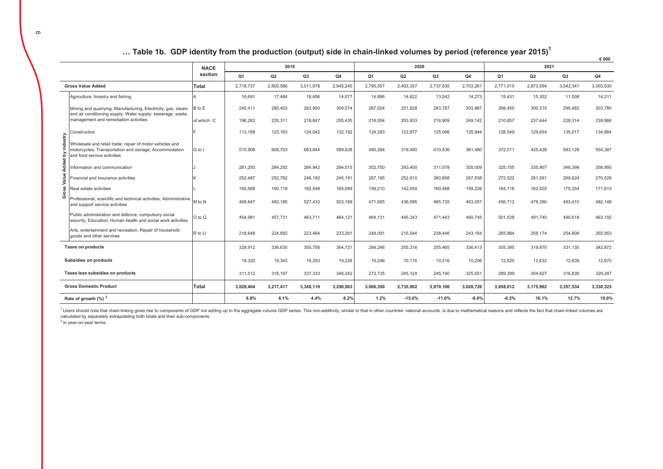|                   |                                                                                                                                                   |              |                |                |           |           |                |                |           |           |           |           |           | € 000     |
|-------------------|---------------------------------------------------------------------------------------------------------------------------------------------------|--------------|----------------|----------------|-----------|-----------|----------------|----------------|-----------|-----------|-----------|-----------|-----------|-----------|
|                   |                                                                                                                                                   | <b>NACE</b>  |                | 2019           |           |           |                | 2020           |           |           |           | 2021      |           |           |
|                   |                                                                                                                                                   | section      | Q <sub>1</sub> | Q <sub>2</sub> | Q3        | Q4        | Q <sub>1</sub> | Q <sub>2</sub> | Q3        | Q4        | Q1        | Q2        | Q3        | Q4        |
|                   | <b>Gross Value Added</b>                                                                                                                          | <b>Total</b> | 2,718,737      | 2,900,586      | 3,011,978 | 2,945,245 | 2,795,557      | 2,493,357      | 2,737,835 | 2,703,261 | 2,771,015 | 2,873,594 | 3,043,341 | 3,003,530 |
|                   | Agriculture, forestry and fishing                                                                                                                 |              | 16,691         | 17,484         | 18,456    | 14,077    | 14.886         | 14,622         | 13,042    | 14,273    | 15,431    | 15,352    | 11,508    | 14,211    |
|                   | Mining and quarrying; Manufacturing; Electricity, gas, steam<br>and air conditioning supply; Water supply; sewerage, waste                        | B to E       | 245,411        | 290,403        | 283,950   | 309,074   | 267,024        | 251,828        | 283,787   | 303,967   | 268,450   | 300,315   | 295,482   | 303,780   |
|                   | management and remediation activities                                                                                                             | of which: C  | 196,263        | 235,311        | 218,847   | 255,435   | 216.004        | 203,933        | 216,909   | 249,142   | 210,857   | 237.644   | 228,314   | 239,866   |
|                   | Construction                                                                                                                                      |              | 113,169        | 120,163        | 124,042   | 132,192   | 124,293        | 123,877        | 125,066   | 125,944   | 128,549   | 129,654   | 135,017   | 134,864   |
| Added by industry | Wholesale and retail trade; repair of motor vehicles and<br>motorcycles; Transportation and storage; Accommodation<br>and food service activities | G to I       | 510,908        | 608,703        | 683,844   | 589,628   | 480.284        | 319,480        | 410,536   | 361,480   | 372,011   | 425,428   | 583,128   | 554,387   |
|                   | nformation and communication                                                                                                                      |              | 281,293        | 284,292        | 284,942   | 294,515   | 302,750        | 293,400        | 311,579   | 305,009   | 325,155   | 335,907   | 346,399   | 356,950   |
| Value             | Financial and insurance activities                                                                                                                |              | 252,487        | 250.782        | 246,192   | 245,191   | 267.195        | 252,910        | 260.858   | 267,838   | 272,522   | 281,591   | 269.624   | 270,526   |
| Gross             | Real estate activities                                                                                                                            |              | 160,568        | 160.118        | 162,548   | 165,689   | 159.210        | 142,450        | 160.468   | 159,226   | 164,116   | 162,020   | 175.354   | 171,613   |
|                   | Professional, scientific and technical activities; Administrative<br>and support service activities                                               | M to N       | 469,647        | 492,185        | 527,433   | 503,169   | 471,655        | 436,095        | 465,735   | 463,057   | 456,712   | 478,390   | 493,410   | 482,148   |
|                   | Public administration and defence; compulsory social<br>security; Education; Human health and social work activities                              | O to Q       | 454,981        | 457,731        | 463,711   | 464,121   | 464.131        | 445,343        | 471,443   | 460,745   | 501,538   | 491,740   | 490,618   | 463,192   |
|                   | Arts, entertainment and recreation, Repair of household<br>goods and other services                                                               | R to U       | 218,648        | 224.692        | 223,494   | 233,261   | 248.091        | 215,544        | 238,446   | 243,164   | 265,984   | 258,174   | 254.808   | 265,953   |
|                   | <b>Taxes on products</b>                                                                                                                          |              | 329,912        | 336,630        | 355,756   | 364,721   | 284,246        | 255,316        | 255,465   | 336,413   | 305,395   | 319,870   | 331,135   | 342,872   |
|                   | Subsidies on products                                                                                                                             |              | 19,320         | 19,343         | 19,293    | 19,228    | 10.246         | 10,116         | 10,216    | 10,206    | 12,620    | 12,632    | 12,639    | 12,670    |
|                   | Taxes less subsidies on products                                                                                                                  |              | 311,512        | 318,197        | 337,333   | 346,342   | 273,735        | 245,124        | 245,190   | 325,551   | 289,399   | 304,827   | 316,839   | 329,287   |
|                   | <b>Gross Domestic Product</b>                                                                                                                     | Total        | 3,029,404      | 3,217,417      | 3,348,119 | 3,290,963 | 3,066,350      | 2,735,902      | 2,979,106 | 3,028,726 | 3,058,012 | 3,175,962 | 3.357.534 | 3,330,323 |
|                   | Rate of growth (%) <sup>2</sup>                                                                                                                   |              | 6.9%           | 6.1%           | 4.4%      | 6.2%      | 1.2%           | $-15.0%$       | $-11.0%$  | $-8.0%$   | $-0.3%$   | 16.1%     | 12.7%     | 10.0%     |

### ... Table 1b. GDP identity from the production (output) side in chain-linked volumes by period (reference year 2015)<sup>1</sup>

<sup>1</sup> Users should note that chain-linking gives rise to components of GDP not adding up to the aggregate volume GDP series. This non-additivity, similar to that in other countries' national accounts, is due to mathematical calculated by separately extrapolating both totals and their sub-components.

<sup>2</sup> In year-on-year terms.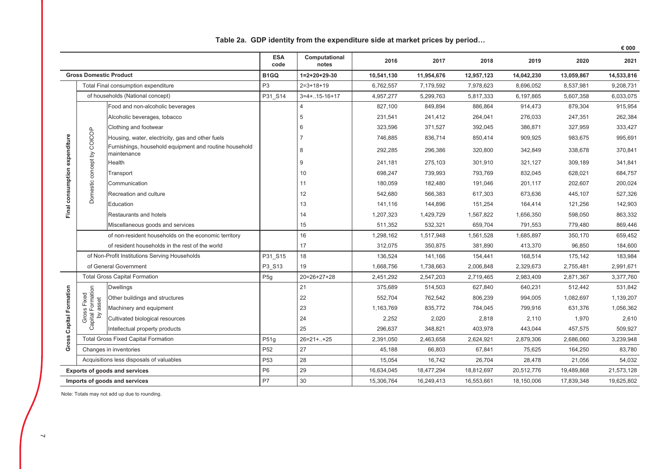|                                |                                              |                                                                       |                    |                        |            |            |            |            |            | € 000      |
|--------------------------------|----------------------------------------------|-----------------------------------------------------------------------|--------------------|------------------------|------------|------------|------------|------------|------------|------------|
|                                |                                              |                                                                       | <b>ESA</b><br>code | Computational<br>notes | 2016       | 2017       | 2018       | 2019       | 2020       | 2021       |
|                                | <b>Gross Domestic Product</b>                |                                                                       | B <sub>1</sub> GQ  | $1=2+20+29-30$         | 10,541,130 | 11,954,676 | 12,957,123 | 14,042,230 | 13,059,867 | 14,533,816 |
|                                |                                              | Total Final consumption expenditure                                   | P <sub>3</sub>     | $2=3+18+19$            | 6,762,557  | 7,179,592  | 7,978,623  | 8,696,052  | 8,537,981  | 9,208,731  |
|                                |                                              | of households (National concept)                                      | P31 S14            | $3=4+.15-16+17$        | 4,957,277  | 5,299,763  | 5,817,333  | 6,197,865  | 5,607,358  | 6,033,075  |
|                                |                                              | Food and non-alcoholic beverages                                      |                    | $\overline{4}$         | 827,100    | 849,894    | 886,864    | 914,473    | 879,304    | 915,954    |
|                                |                                              | Alcoholic beverages, tobacco                                          |                    | 5                      | 231,541    | 241,412    | 264,041    | 276,033    | 247,351    | 262,384    |
|                                |                                              | Clothing and footwear                                                 |                    | 6                      | 323,596    | 371,527    | 392,045    | 386,871    | 327,959    | 333,427    |
|                                |                                              | Housing, water, electricity, gas and other fuels                      |                    |                        | 746,885    | 836,714    | 850,414    | 909,925    | 983,675    | 995,691    |
| Final consumption expenditure  | Domestic concept by COICOP                   | Furnishings, household equipment and routine household<br>maintenance |                    | 8                      | 292,285    | 296,386    | 320,800    | 342,849    | 338,678    | 370,841    |
|                                |                                              | Health                                                                |                    | 9                      | 241,181    | 275,103    | 301,910    | 321,127    | 309,189    | 341,841    |
|                                |                                              | Transport                                                             |                    | 10                     | 698,247    | 739,993    | 793,769    | 832,045    | 628,021    | 684,757    |
|                                |                                              | Communication                                                         |                    | 11                     | 180,059    | 182,480    | 191,046    | 201,117    | 202,607    | 200,024    |
|                                |                                              | Recreation and culture                                                |                    | 12                     | 542,680    | 566,383    | 617,303    | 673,636    | 445,107    | 527,326    |
|                                |                                              | Education                                                             |                    | 13                     | 141,116    | 144,896    | 151,254    | 164,414    | 121,256    | 142,903    |
|                                |                                              | Restaurants and hotels                                                |                    | 14                     | 1,207,323  | 1,429,729  | 1,567,822  | 1,656,350  | 598,050    | 863,332    |
|                                |                                              | Miscellaneous goods and services                                      |                    | 15                     | 511,352    | 532,321    | 659,704    | 791,553    | 779,480    | 869,446    |
|                                |                                              | of non-resident households on the economic territory                  |                    | 16                     | 1,298,162  | 1,517,948  | 1,561,528  | 1,685,897  | 350,170    | 659,452    |
|                                |                                              | of resident households in the rest of the world                       |                    | 17                     | 312,075    | 350,875    | 381,890    | 413,370    | 96,850     | 184,600    |
|                                |                                              | of Non-Profit Institutions Serving Households                         | P31 S15            | 18                     | 136,524    | 141,166    | 154,441    | 168,514    | 175,142    | 183,984    |
|                                |                                              | of General Government                                                 | P3_S13             | 19                     | 1,668,756  | 1,738,663  | 2,006,848  | 2,329,673  | 2,755,481  | 2,991,671  |
|                                |                                              | <b>Total Gross Capital Formation</b>                                  | P <sub>5g</sub>    | $20=26+27+28$          | 2,451,292  | 2,547,203  | 2,719,465  | 2,983,409  | 2,871,367  | 3,377,760  |
|                                | Gross Fixed<br>Capital Formation<br>by asset | <b>Dwellings</b>                                                      |                    | 21                     | 375,689    | 514,503    | 627,840    | 640,231    | 512,442    | 531,842    |
|                                |                                              | Other buildings and structures                                        |                    | 22                     | 552,704    | 762,542    | 806,239    | 994,005    | 1,082,697  | 1,139,207  |
|                                |                                              | Machinery and equipment                                               |                    | 23                     | 1,163,769  | 835,772    | 784,045    | 799,916    | 631,376    | 1,056,362  |
|                                |                                              | Cultivated biological resources                                       |                    | 24                     | 2,252      | 2,020      | 2,818      | 2,110      | 1,970      | 2,610      |
|                                |                                              | Intellectual property products                                        |                    | 25                     | 296,637    | 348,821    | 403,978    | 443,044    | 457,575    | 509,927    |
| <b>Gross Capital Formation</b> |                                              | <b>Total Gross Fixed Capital Formation</b>                            | P51g               | $26 = 21 + 1. + 25$    | 2,391,050  | 2,463,658  | 2,624,921  | 2,879,306  | 2,686,060  | 3,239,948  |
|                                |                                              | Changes in inventories                                                | P <sub>52</sub>    | 27                     | 45,188     | 66,803     | 67,841     | 75,625     | 164,250    | 83,780     |
|                                |                                              | Acquisitions less disposals of valuables                              | P <sub>53</sub>    | 28                     | 15,054     | 16,742     | 26,704     | 28,478     | 21,056     | 54,032     |
|                                |                                              | <b>Exports of goods and services</b>                                  | P <sub>6</sub>     | 29                     | 16,634,045 | 18,477,294 | 18,812,697 | 20,512,776 | 19,489,868 | 21,573,128 |
|                                |                                              | Imports of goods and services                                         | <b>P7</b>          | 30                     | 15,306,764 | 16,249,413 | 16,553,661 | 18,150,006 | 17,839,348 | 19,625,802 |

Table 2a. GDP identity from the expenditure side at market prices by period...

Note: Totals may not add up due to rounding.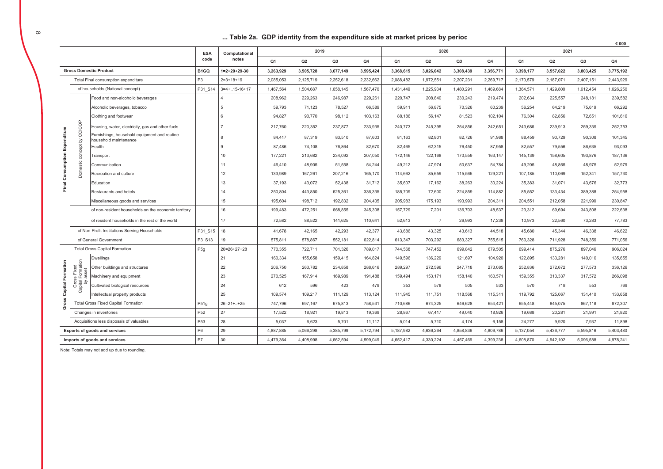#### ... Table 2a. GDP identity from the expenditure side at market prices by period

|                   |                              |                                                                       | <b>ESA</b>        | Computational       |                | 2019      |                |           |           | 2020           |                |           |                | 2021      |                |           |
|-------------------|------------------------------|-----------------------------------------------------------------------|-------------------|---------------------|----------------|-----------|----------------|-----------|-----------|----------------|----------------|-----------|----------------|-----------|----------------|-----------|
|                   |                              |                                                                       | code              | notes               | O <sub>1</sub> | Q2        | Q <sub>3</sub> | Q4        | Q1        | Q <sub>2</sub> | Q <sub>3</sub> | <b>Q4</b> | O <sub>1</sub> | Q2        | Q <sub>3</sub> | Q4        |
|                   |                              | <b>Gross Domestic Product</b>                                         | B <sub>1</sub> GQ | 1=2+20+29-30        | 3.263.929      | 3.505.728 | 3.677.149      | 3.595.424 | 3.368.615 | 3.026.042      | 3.308.439      | 3,356,77  | 3.398.177      | 3,557,022 | 3.803.425      | 3.775.192 |
|                   |                              | Total Final consumption expenditure                                   | P <sub>3</sub>    | $2=3+18+19$         | 2,085,053      | 2,125,719 | 2,252,618      | 2,232,662 | 2,088,482 | 1,972,551      | 2,207,231      | 2,269,717 | 2,170,579      | 2,187,071 | 2,407,151      | 2,443,929 |
|                   |                              | of households (National concept)                                      | P31 S14           | $3=4+.15-16+17$     | 1,467,564      | 1,504,687 | 1,658,145      | 1,567,470 | 1,431,449 | 1,225,934      | 1,480,291      | 1,469,684 | 1,364,571      | 1,429,800 | 1,612,454      | 1,626,250 |
|                   |                              | Food and non-alcoholic beverages                                      |                   |                     | 208,962        | 229,263   | 246,987        | 229,261   | 220,747   | 208,840        | 230,243        | 219,474   | 202,634        | 225,557   | 248,181        | 239,582   |
|                   |                              | Alcoholic beverages, tobacco                                          |                   |                     | 59,793         | 71,123    | 78,527         | 66,589    | 59,911    | 56,875         | 70,326         | 60,239    | 56,254         | 64,219    | 75,619         | 66,292    |
|                   |                              | Clothing and footwear                                                 |                   |                     | 94,827         | 90,770    | 98,112         | 103,163   | 88,186    | 56,147         | 81,523         | 102,104   | 76,304         | 82,856    | 72,651         | 101,616   |
|                   | COICOP                       | Housing, water, electricity, gas and other fuels                      |                   |                     | 217,760        | 220,352   | 237,877        | 233,935   | 240,773   | 245,395        | 254,856        | 242,651   | 243,686        | 239,913   | 259,339        | 252,753   |
| Expenditure       | Σ                            | Furnishings, household equipment and routine<br>household maintenance |                   |                     | 84,417         | 87,319    | 83,510         | 87,603    | 81,163    | 82,801         | 82,726         | 91,988    | 88,459         | 90,729    | 90,308         | 101,345   |
|                   | concept                      | <b>Health</b>                                                         |                   |                     | 87.486         | 74,108    | 76,864         | 82.670    | 82.465    | 62,315         | 76,450         | 87,958    | 82,557         | 79,556    | 86,635         | 93,093    |
|                   |                              | ransport                                                              |                   | 10                  | 177,221        | 213,682   | 234,092        | 207,050   | 172,146   | 122,168        | 170,559        | 163,147   | 145,139        | 158,605   | 193,876        | 187,136   |
| Final Consumption | Domestic                     | Communication                                                         |                   | 11                  | 46,410         | 48,905    | 51,558         | 54,244    | 49,212    | 47,974         | 50,637         | 54.784    | 49.205         | 48,865    | 48,975         | 52,979    |
|                   |                              | Recreation and culture                                                |                   | 12                  | 133,989        | 167,261   | 207,216        | 165,170   | 114,662   | 85,659         | 115,565        | 129,221   | 107,185        | 110,069   | 152,341        | 157,730   |
|                   |                              | Education                                                             |                   | 13                  | 37,193         | 43,072    | 52,438         | 31,712    | 35,607    | 17,162         | 38,263         | 30,224    | 35,383         | 31,071    | 43,676         | 32,773    |
|                   |                              | Restaurants and hotels                                                |                   | 14                  | 250,804        | 443,850   | 625,361        | 336,335   | 185,709   | 72,600         | 224,859        | 114,882   | 85,552         | 133,434   | 389,388        | 254,958   |
|                   |                              | Miscellaneous goods and services                                      |                   | 15                  | 195,604        | 198.712   | 192,832        | 204,405   | 205,983   | 175.193        | 193,993        | 204,311   | 204,551        | 212,058   | 221,990        | 230,847   |
|                   |                              | of non-resident households on the economic territory                  |                   | 16                  | 199,483        | 472,251   | 668,855        | 345,308   | 157,729   | 7,201          | 136,703        | 48,537    | 23,312         | 69,694    | 343,808        | 222,638   |
|                   |                              | of resident households in the rest of the world                       |                   | 17                  | 72.582         | 88.522    | 141.625        | 110.641   | 52.613    | $\overline{7}$ | 26.993         | 17.238    | 10.973         | 22.560    | 73.283         | 77,783    |
|                   |                              | of Non-Profit Institutions Serving Households                         | P31_S15           | 18                  | 41,678         | 42,165    | 42,293         | 42,377    | 43,686    | 43,325         | 43,613         | 44,518    | 45,680         | 45,344    | 46,338         | 46,622    |
|                   |                              | of General Government                                                 | P3 S13            | 19                  | 575,811        | 578.867   | 552.181        | 622.814   | 613.347   | 703.292        | 683.327        | 755.515   | 760.328        | 711.928   | 748.359        | 771,056   |
|                   |                              | <b>Total Gross Capital Formation</b>                                  | P <sub>5g</sub>   | $20=26+27+28$       | 770,355        | 722,711   | 701,326        | 789,017   | 744,568   | 747,452        | 699,842        | 679,505   | 699,414        | 875,276   | 897,046        | 906,024   |
|                   |                              | <b>Dwellings</b>                                                      |                   | 21                  | 160,334        | 155,658   | 159,415        | 164,824   | 149,596   | 136,229        | 121,697        | 104,920   | 122,895        | 133,281   | 140,010        | 135,655   |
| Formation         | Fixed<br>ormation            | Other buildings and structures                                        |                   | 22                  | 206.750        | 263.782   | 234.858        | 288,616   | 289.297   | 272.596        | 247.718        | 273.085   | 252.836        | 272.672   | 277.573        | 336,126   |
|                   | asset<br>Gross I<br>pital Fc | Machinery and equipment                                               |                   | 23                  | 270,525        | 167,914   | 169,989        | 191,488   | 159,494   | 153,171        | 158,140        | 160,571   | 159,355        | 313,337   | 317,572        | 266,098   |
| Capital           | 2                            | Cultivated biological resources                                       |                   | 24                  | 612            | 596       | 423            | 479       | 353       | 578            | 505            | 533       | 570            | 718       | 553            | 769       |
|                   |                              | ntellectual property products                                         |                   | 25                  | 109,574        | 109,217   | 111,129        | 113,124   | 111,945   | 111,751        | 118,568        | 115,311   | 119,792        | 125,067   | 131,410        | 133,658   |
| Gross             |                              | <b>Total Gross Fixed Capital Formation</b>                            | P51q              | $26 = 21 + 1. + 25$ | 747,796        | 697,167   | 675,813        | 758,531   | 710,686   | 674,325        | 646,628        | 654,421   | 655,448        | 845,075   | 867,118        | 872,307   |
|                   |                              | Changes in inventories                                                | P <sub>52</sub>   | 27                  | 17,522         | 18,921    | 19,813         | 19,369    | 28,867    | 67.417         | 49,040         | 18,926    | 19,688         | 20,281    | 21,991         | 21,820    |
|                   |                              | Acquisitions less disposals of valuables                              | P <sub>53</sub>   | 28                  | 5,037          | 6,623     | 5,701          | 11,117    | 5,014     | 5,710          | 4,174          | 6,158     | 24,277         | 9,920     | 7,937          | 11,898    |
|                   |                              | Exports of goods and services                                         | P <sub>6</sub>    | 29                  | 4,887,885      | 5,066,298 | 5,385,799      | 5,172,794 | 5,187,982 | 4,636,264      | 4,858,836      | 4,806,786 | 5,137,054      | 5,436,777 | 5,595,816      | 5,403,480 |
|                   |                              | Imports of goods and services                                         | <b>P7</b>         | 30                  | 4,479,364      | 4,408,998 | 4,662,594      | 4,599,049 | 4,652,417 | 4,330,224      | 4,457,469      | 4,399,238 | 4,608,870      | 4,942,102 | 5,096,588      | 4,978,241 |

Note: Totals may not add up due to rounding.

 $\epsilon$  000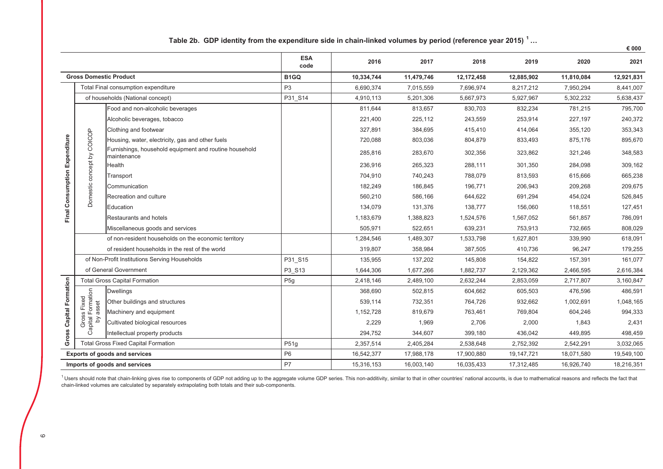|                                |                                                                       |                                                                       |                    |            |            |            |            |            | € 000      |
|--------------------------------|-----------------------------------------------------------------------|-----------------------------------------------------------------------|--------------------|------------|------------|------------|------------|------------|------------|
|                                |                                                                       |                                                                       | <b>ESA</b><br>code | 2016       | 2017       | 2018       | 2019       | 2020       | 2021       |
|                                |                                                                       | <b>Gross Domestic Product</b>                                         | B <sub>1</sub> GQ  | 10,334,744 | 11,479,746 | 12,172,458 | 12,885,902 | 11,810,084 | 12,921,831 |
|                                |                                                                       | Total Final consumption expenditure                                   | P <sub>3</sub>     | 6,690,374  | 7,015,559  | 7,696,974  | 8,217,212  | 7,950,294  | 8,441,007  |
|                                |                                                                       | of households (National concept)                                      | P31 S14            | 4,910,113  | 5,201,306  | 5,667,973  | 5,927,967  | 5,302,232  | 5,638,437  |
|                                |                                                                       | Food and non-alcoholic beverages                                      |                    | 811,644    | 813,657    | 830,703    | 832,234    | 781,215    | 795,700    |
|                                |                                                                       | Alcoholic beverages, tobacco                                          |                    | 221,400    | 225,112    | 243,559    | 253,914    | 227,197    | 240,372    |
|                                |                                                                       | Clothing and footwear                                                 |                    | 327,891    | 384,695    | 415,410    | 414,064    | 355,120    | 353,343    |
|                                |                                                                       | Housing, water, electricity, gas and other fuels                      |                    | 720,088    | 803,036    | 804,879    | 833,493    | 875,176    | 895,670    |
|                                | Domestic concept by COICOP                                            | Furnishings, household equipment and routine household<br>maintenance |                    | 285,816    | 283,670    | 302,356    | 323,862    | 321,246    | 348,583    |
|                                |                                                                       | Health                                                                |                    | 236,916    | 265,323    | 288,111    | 301,350    | 284,098    | 309,162    |
|                                |                                                                       | Transport                                                             |                    | 704,910    | 740,243    | 788,079    | 813,593    | 615,666    | 665,238    |
|                                |                                                                       | Communication                                                         |                    | 182,249    | 186,845    | 196,771    | 206,943    | 209,268    | 209,675    |
| Final Consumption Expenditure  |                                                                       | Recreation and culture                                                |                    | 560,210    | 586,166    | 644,622    | 691,294    | 454,024    | 526,845    |
|                                |                                                                       | Education                                                             |                    | 134,079    | 131,376    | 138,777    | 156,060    | 118,551    | 127,451    |
|                                |                                                                       | Restaurants and hotels                                                |                    | 1,183,679  | 1,388,823  | 1,524,576  | 1,567,052  | 561,857    | 786,091    |
|                                |                                                                       | Miscellaneous goods and services                                      |                    | 505,971    | 522,651    | 639,231    | 753,913    | 732,665    | 808,029    |
|                                |                                                                       | of non-resident households on the economic territory                  |                    | 1,284,546  | 1,489,307  | 1,533,798  | 1,627,801  | 339,990    | 618,091    |
|                                |                                                                       | of resident households in the rest of the world                       |                    | 319,807    | 358,984    | 387,505    | 410,736    | 96,247     | 179,255    |
|                                |                                                                       | of Non-Profit Institutions Serving Households                         | P31_S15            | 135,955    | 137,202    | 145,808    | 154,822    | 157,391    | 161,077    |
|                                |                                                                       | of General Government                                                 | P3 S13             | 1,644,306  | 1,677,266  | 1,882,737  | 2,129,362  | 2,466,595  | 2,616,384  |
|                                |                                                                       | <b>Total Gross Capital Formation</b>                                  | P <sub>5g</sub>    | 2,418,146  | 2,489,100  | 2,632,244  | 2,853,059  | 2,717,807  | 3,160,847  |
| <b>Gross Capital Formation</b> | Gross Fixed<br>Capital Formation<br>by asset                          | <b>Dwellings</b>                                                      |                    | 368,690    | 502,815    | 604,662    | 605,503    | 476,596    | 486,591    |
|                                |                                                                       | Other buildings and structures                                        |                    | 539,114    | 732,351    | 764,726    | 932,662    | 1,002,691  | 1,048,165  |
|                                |                                                                       | Machinery and equipment                                               |                    | 1,152,728  | 819,679    | 763,461    | 769,804    | 604,246    | 994,333    |
|                                |                                                                       | Cultivated biological resources                                       |                    | 2,229      | 1,969      | 2,706      | 2,000      | 1,843      | 2,431      |
|                                |                                                                       | Intellectual property products                                        |                    | 294,752    | 344,607    | 399,180    | 436,042    | 449,895    | 498,459    |
|                                |                                                                       | <b>Total Gross Fixed Capital Formation</b>                            | P51g               | 2,357,514  | 2,405,284  | 2,538,648  | 2,752,392  | 2,542,291  | 3,032,065  |
|                                |                                                                       |                                                                       | P <sub>6</sub>     | 16,542,377 | 17,988,178 | 17,900,880 | 19,147,721 | 18,071,580 | 19,549,100 |
|                                | <b>Exports of goods and services</b><br>Imports of goods and services |                                                                       | P7                 | 15,316,153 | 16,003,140 | 16,035,433 | 17,312,485 | 16,926,740 | 18,216,351 |

# Table 2b. GDP identity from the expenditure side in chain-linked volumes by period (reference year 2015)<sup>1</sup>...

<sup>1</sup> Users should note that chain-linking gives rise to components of GDP not adding up to the aggregate volume GDP series. This non-additivity, similar to that in other countries' national accounts, is due to mathematical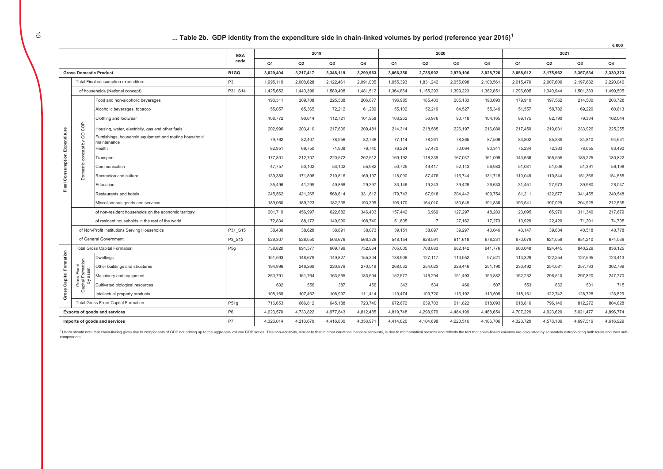|                               |                                             |                                                        |                   |                |           |                |           |           |                |           |                |                |           |           | € 000     |
|-------------------------------|---------------------------------------------|--------------------------------------------------------|-------------------|----------------|-----------|----------------|-----------|-----------|----------------|-----------|----------------|----------------|-----------|-----------|-----------|
|                               |                                             |                                                        | <b>ESA</b>        |                | 2019      |                |           |           | 2020           |           |                |                | 2021      |           |           |
|                               |                                             |                                                        | code              | O <sub>1</sub> | Q2        | Q <sub>3</sub> | Q4        | Q1        | Q2             | Q3        | Q <sub>4</sub> | Q <sub>1</sub> | Q2        | Q3        | Q4        |
|                               | <b>Gross Domestic Product</b>               |                                                        | B <sub>1</sub> GO | 3,029,404      | 3,217,417 | 3,348,119      | 3,290,963 | 3,066,350 | 2,735,902      | 2,979,106 | 3,028,726      | 3,058,012      | 3,175,962 | 3,357,534 | 3,330,323 |
|                               |                                             | Total Final consumption expenditure                    | P <sub>3</sub>    | 1.995.119      | 2,008,628 | 2,122,461      | 2.091.005 | 1.955.393 | 1,831,242      | 2.055.098 | 2,108,561      | 2.015.470      | 2.007.609 | 2,197,882 | 2.220.046 |
|                               |                                             | of households (National concept)                       | P31 S14           | 1,425,652      | 1,440,396 | 1,580,408      | 1,481,512 | 1,364,864 | 1,155,293      | 1,399,223 | 1,382,851      | 1,296,605      | 1,340,944 | 1,501,383 | 1,499,505 |
|                               |                                             | Food and non-alcoholic beverages                       |                   | 190,311        | 209,708   | 225,338        | 206,877   | 196,985   | 185,403        | 205,133   | 193,693        | 179,910        | 197,562   | 214,500   | 203,728   |
|                               |                                             | Alcoholic beverages, tobacco                           |                   | 55,057         | 65,365    | 72,212         | 61,280    | 55,102    | 52,219         | 64,527    | 55,349         | 51,557         | 58.782    | 69,220    | 60,813    |
|                               |                                             | Clothing and footwear                                  |                   | 108,772        | 90,614    | 112,721        | 101,958   | 103,262   | 56,976         | 90,718    | 104,165        | 89,175         | 82,790    | 79,334    | 102,044   |
|                               | coicop                                      | Housing, water, electricity, gas and other fuels       |                   | 202,996        | 203,410   | 217,606        | 209,481   | 214,314   | 218,585        | 226,197   | 216,080        | 217,459        | 219,031   | 233,926   | 225,255   |
|                               |                                             | Furnishings, household equipment and routine household |                   | 79.762         | 82,407    | 78,956         | 82,738    | 77.114    | 78.261         | 78,365    | 87,506         | 83,802         | 85,339    | 84,810    | 94,631    |
|                               | $\gtrsim$                                   | maintenance<br>Health                                  |                   | 82,951         | 69,750    | 71,908         | 76,740    | 76,224    | 57,470         | 70,064    | 80,341         | 75,234         | 72,383    | 78,055    | 83,490    |
|                               | concept                                     | Transport                                              |                   | 177.801        | 212.707   | 220.572        | 202.512   | 169.192   | 118.339        | 167.037   | 161,099        | 143.636        | 155.555   | 185.225   | 180,822   |
|                               |                                             | Communication                                          |                   | 47,757         | 50,102    | 53,102         | 55,982    | 50,725    | 49,417         | 52,143    | 56,983         | 51,081         | 51,006    | 51,391    | 56,198    |
|                               | Domestic                                    | Recreation and culture                                 |                   | 139,383        | 171,898   | 210,816        | 169,197   | 118,090   | 87,476         | 116,744   | 131,715        | 110,049        | 110,844   | 151,366   | 154,585   |
| Final Consumption Expenditure |                                             | Education                                              |                   | 35,496         | 41,299    | 49,868         | 29,397    | 33.146    | 19,343         | 39,429    | 26,633         | 31.451         | 27,973    | 39,980    | 28,047    |
|                               |                                             | Restaurants and hotels                                 |                   | 245,562        | 421,265   | 568,614        | 331,612   | 179.743   | 67.918         | 204,442   | 109,754        | 81,211         | 122,877   | 341,455   | 240,548   |
|                               |                                             | Miscellaneous goods and services                       |                   | 189,060        | 189,223   | 182.235        | 193.395   | 196.170   | 164.010        | 180.649   | 191,836        | 193.541        | 197.029   | 204,925   | 212,535   |
|                               |                                             | of non-resident households on the economic territory   |                   | 201.719        | 456.997   | 622,682        | 346,403   | 157.442   | 6.969          | 127,297   | 48,283         | 23.095         | 65.976    | 311,340   | 217,679   |
|                               |                                             | of resident households in the rest of the world        |                   | 72,834         | 88,172    | 140,990        | 108,740   | 51,805    | $\overline{7}$ | 27,162    | 17,273         | 10,929         | 22,420    | 71,201    | 74,705    |
|                               |                                             | of Non-Profit Institutions Serving Households          | P31 S15           | 38,430         | 38,628    | 38,891         | 38,873    | 39,151    | 38,897         | 39,297    | 40,046         | 40.147         | 39,634    | 40,518    | 40,778    |
|                               |                                             | of General Government                                  | P3 S13            | 529,307        | 528,050   | 503,676        | 568,328   | 548,154   | 628,591        | 611,618   | 678,231        | 670,079        | 621,059   | 651,210   | 674,036   |
|                               |                                             | <b>Total Gross Capital Formation</b>                   | P <sub>5g</sub>   | 738,820        | 691,577   | 669,799        | 752,864   | 705,005   | 708,883        | 662,142   | 641,776        | 660,048        | 824,445   | 840,229   | 836,125   |
| Formation                     |                                             | <b>Dwellings</b>                                       |                   | 151,693        | 148,679   | 149,827        | 155,304   | 138,906   | 127,117        | 113,052   | 97,521         | 113,329        | 122,254   | 127,595   | 123,413   |
|                               |                                             | Other buildings and structures                         |                   | 194.996        | 246.269   | 220.879        | 270.519   | 268.032   | 254.023        | 229.446   | 251.190        | 233.492        | 254.081   | 257.793   | 302.799   |
| Capital                       | Gross Fixed<br>apital Formation<br>by asset | Machinery and equipment                                |                   | 260,791        | 161,764   | 163,555        | 183,694   | 152,577   | 146,294        | 151,493   | 153,882        | 152,232        | 296,510   | 297,820   | 247,770   |
|                               |                                             | Cultivated biological resources                        |                   | 602            | 556       | 387            | 456       | 343       | 534            | 460       | 507            | 553            | 662       | 501       | 715       |
| Gross                         | ී                                           | Intellectual property products                         |                   | 108.169        | 107.462   | 108.997        | 111.414   | 110.474   | 109.720        | 116,192   | 113,509        | 118.161        | 122.742   | 128.728   | 128,829   |
|                               |                                             | <b>Total Gross Fixed Capital Formation</b>             | P51g              | 716,653        | 666,812   | 645.188        | 723,740   | 672,672   | 639,703        | 611,822   | 618,093        | 618,816        | 796,149   | 812,272   | 804,828   |
|                               |                                             | Exports of goods and services                          | P <sub>6</sub>    | 4,623,570      | 4,733,822 | 4,977,843      | 4,812,485 | 4,819,748 | 4,298,979      | 4,484,199 | 4,468,654      | 4,707,229      | 4,923,620 | 5,021,477 | 4,896,774 |
|                               |                                             | Imports of goods and services                          |                   | 4,326,014      | 4,210,670 | 4,416,830      | 4,358,971 | 4,414,820 | 4,104,698      | 4,220,516 | 4,186,706      | 4,323,720      | 4,578,186 | 4,697,516 | 4,616,929 |

<sup>1</sup> Users should note that chain-linking gives rise to components of GDP not adding up to the aggregate volume GDP series. This non-additivity, similar to that in other countries' national accounts, is due to mathematical components.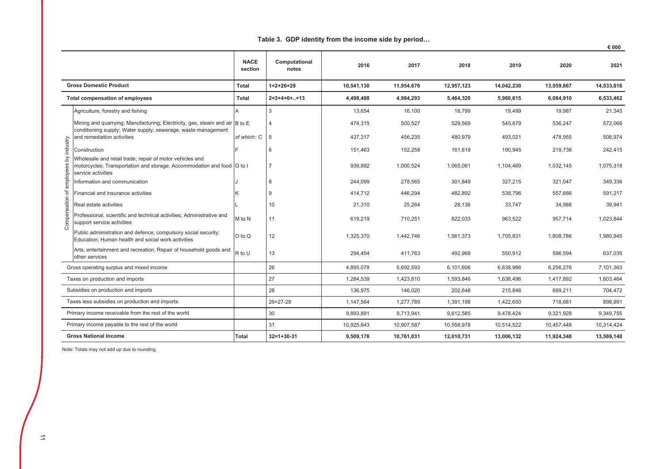#### Table 3. GDP identity from the income side by period...

 $\epsilon$  000

|              |                                                                                                                                                          | <b>NACE</b><br>section | Computational<br>notes | 2016       | 2017       | 2018       | 2019       | 2020       | 2021       |
|--------------|----------------------------------------------------------------------------------------------------------------------------------------------------------|------------------------|------------------------|------------|------------|------------|------------|------------|------------|
|              | <b>Gross Domestic Product</b>                                                                                                                            | <b>Total</b>           | $1=2+26+29$            | 10,541,130 | 11,954,676 | 12,957,123 | 14,042,230 | 13,059,867 | 14,533,816 |
|              | <b>Total compensation of employees</b>                                                                                                                   | <b>Total</b>           | $2=3+4+6++13$          | 4,498,488  | 4,984,293  | 5,464,320  | 5,980,615  | 6,084,910  | 6,533,462  |
|              | Agriculture, forestry and fishing                                                                                                                        |                        | 3                      | 13,654     | 16,100     | 18,799     | 19,499     | 19,987     | 21,345     |
|              | Mining and quarrying; Manufacturing; Electricity, gas, steam and air B to E<br>conditioning supply; Water supply; sewerage, waste management             |                        |                        | 474,315    | 500,527    | 529,569    | 545,679    | 536,247    | 572,066    |
|              | and remediation activities                                                                                                                               | of which: C            | 5                      | 437,317    | 456,235    | 480,979    | 493,021    | 478,955    | 508,974    |
| by industry  | Construction                                                                                                                                             |                        | ĥ                      | 151,463    | 152,258    | 161,619    | 190,945    | 219,738    | 242,415    |
| employees    | Wholesale and retail trade; repair of motor vehicles and<br>motorcycles; Transportation and storage; Accommodation and food G to I<br>service activities |                        |                        | 939,892    | 1,000,524  | 1,065,081  | 1,104,469  | 1,032,145  | 1,075,318  |
|              | Information and communication                                                                                                                            |                        | 8                      | 244,099    | 278,565    | 301,849    | 327,215    | 321,047    | 349,336    |
| ৳            | Financial and insurance activities                                                                                                                       |                        | 9                      | 414,712    | 446,294    | 482,892    | 538,796    | 557,666    | 591,217    |
|              | Real estate activities                                                                                                                                   |                        | 10                     | 21,310     | 25,264     | 28,136     | 33,747     | 34,988     | 39,941     |
| Compensation | Professional, scientific and technical activities; Administrative and<br>support service activities                                                      | M to N                 | 11                     | 619,219    | 710,251    | 822,033    | 963,522    | 957,714    | 1,023,844  |
|              | Public administration and defence; compulsory social security;<br>Education; Human health and social work activities                                     | O to Q                 | 12                     | 1,325,370  | 1,442,746  | 1,561,373  | 1,705,831  | 1,808,786  | 1,980,945  |
|              | Arts, entertainment and recreation, Repair of household goods and<br>other services                                                                      | R to U                 | 13                     | 294,454    | 411,763    | 492,969    | 550,912    | 596,594    | 637,035    |
|              | Gross operating surplus and mixed income                                                                                                                 |                        | 26                     | 4,895,078  | 5,692,593  | 6,101,606  | 6,638,966  | 6,256,276  | 7,101,363  |
|              | Taxes on production and imports                                                                                                                          |                        | 27                     | 1,284,539  | 1,423,810  | 1,593,846  | 1,638,496  | 1,417,892  | 1,603,464  |
|              | Subsidies on production and imports                                                                                                                      |                        | 28                     | 136,975    | 146,020    | 202,648    | 215,846    | 699,211    | 704,472    |
|              | Taxes less subsidies on production and imports                                                                                                           |                        | $29 = 27 - 28$         | 1,147,564  | 1,277,789  | 1,391,198  | 1,422,650  | 718,681    | 898,991    |
|              | Primary income receivable from the rest of the world                                                                                                     |                        | 30                     | 9,893,891  | 9,713,941  | 9,612,585  | 9,478,424  | 9,321,928  | 9,349,755  |
|              | Primary income payable to the rest of the world                                                                                                          |                        | 31                     | 10,925,843 | 10,907,587 | 10,558,978 | 10,514,522 | 10,457,448 | 10,314,424 |
|              | <b>Gross National Income</b><br><b>Total</b>                                                                                                             |                        | $32 = 1 + 30 - 31$     | 9,509,178  | 10,761,031 | 12,010,731 | 13,006,132 | 11,924,348 | 13,569,148 |

Note: Totals may not add up due to rounding.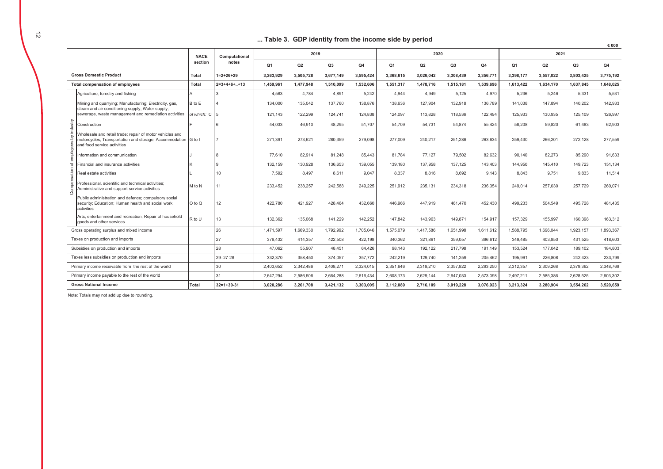#### ... Table 3. GDP identity from the income side by period

€ 000

|          |                                                                                                                                                          | <b>NACE</b>   | Computational      |                | 2019           |           |           |                | 2020           |           |                |                | 2021      |           |           |
|----------|----------------------------------------------------------------------------------------------------------------------------------------------------------|---------------|--------------------|----------------|----------------|-----------|-----------|----------------|----------------|-----------|----------------|----------------|-----------|-----------|-----------|
|          |                                                                                                                                                          | section       | notes              | Q <sub>1</sub> | Q <sub>2</sub> | Q3        | Q4        | Q <sub>1</sub> | Q <sub>2</sub> | Q3        | Q <sub>4</sub> | Q <sub>1</sub> | Q2        | Q3        | Q4        |
|          | <b>Gross Domestic Product</b>                                                                                                                            | Total         | $1=2+26+29$        | 3.263.929      | 3,505,728      | 3.677.149 | 3,595,424 | 3.368.615      | 3,026,042      | 3,308,439 | 3.356.771      | 3.398.177      | 3,557,022 | 3.803.425 | 3,775,192 |
|          | <b>Total compensation of employees</b>                                                                                                                   | Total         | $2=3+4+6++13$      | 1,459,961      | 1,477,948      | 1,510,099 | 1,532,606 | 1,551,317      | 1,478,716      | 1,515,181 | 1,539,696      | 1,613,422      | 1,634,170 | 1,637,845 | 1,648,025 |
|          | Agriculture, forestry and fishing                                                                                                                        |               |                    | 4,583          | 4,784          | 4,891     | 5,242     | 4.944          | 4,949          | 5,125     | 4.970          | 5,236          | 5,246     | 5,331     | 5,531     |
|          | Mining and quarrying; Manufacturing; Electricity, gas,<br>steam and air conditioning supply; Water supply;                                               | B to E        |                    | 134,000        | 135,042        | 137,760   | 138,876   | 138,636        | 127,904        | 132,918   | 136,789        | 141,038        | 147,894   | 140,202   | 142,933   |
|          | sewerage, waste management and remediation activities                                                                                                    | of which: C 5 |                    | 121,143        | 122,299        | 124,741   | 124,838   | 124,097        | 113,828        | 118,536   | 122,494        | 125,933        | 130,935   | 125,109   | 126,997   |
| industry | Construction                                                                                                                                             |               |                    | 44,033         | 46,910         | 48,295    | 51,707    | 54,709         | 54,731         | 54,874    | 55,424         | 58,208         | 59,820    | 61,483    | 62,903    |
| à        | Wholesale and retail trade; repair of motor vehicles and<br>notorcycles; Transportation and storage; Accommodation G to I<br>and food service activities |               |                    | 271.391        | 273,621        | 280,359   | 279,098   | 277,009        | 240,217        | 251.286   | 263.634        | 259.430        | 266,201   | 272,128   | 277,559   |
| employ   | nformation and communication                                                                                                                             |               |                    | 77,610         | 82,914         | 81,248    | 85,443    | 81.784         | 77.127         | 79.502    | 82,632         | 90.140         | 82,273    | 85,290    | 91,633    |
| ৳        | Financial and insurance activities                                                                                                                       |               |                    | 132,159        | 130,928        | 136,653   | 139,055   | 139,180        | 137,958        | 137,125   | 143,403        | 144,950        | 145.410   | 149,723   | 151,134   |
| ÷        | Real estate activities                                                                                                                                   |               | 10                 | 7.592          | 8,497          | 8,611     | 9,047     | 8.337          | 8.816          | 8.692     | 9.143          | 8.843          | 9.751     | 9.833     | 11,514    |
| Comp     | Professional, scientific and technical activities:<br>Administrative and support service activities                                                      | M to N        | 11                 | 233,452        | 238,257        | 242,588   | 249,225   | 251,912        | 235,131        | 234,318   | 236,354        | 249,014        | 257,030   | 257,729   | 260,071   |
|          | Public administration and defence: compulsory social<br>security; Education; Human health and social work<br>activities                                  | O to Q        | 12                 | 422,780        | 421,927        | 428,464   | 432,660   | 446,966        | 447,919        | 461,470   | 452,430        | 499,233        | 504,549   | 495,728   | 481,435   |
|          | Arts, entertainment and recreation, Repair of household<br>goods and other services                                                                      | R to U        | 13                 | 132,362        | 135,068        | 141,229   | 142,252   | 147,842        | 143,963        | 149,871   | 154,917        | 157,329        | 155,997   | 160,398   | 163,312   |
|          | Gross operating surplus and mixed income                                                                                                                 |               | 26                 | 1,471,597      | 1,669,330      | 1,792,992 | 1,705,046 | 1,575,079      | 1,417,586      | 1,651,998 | 1,611,612      | 1,588,795      | 1,696,044 | 1,923,157 | 1,893,367 |
|          | Taxes on production and imports                                                                                                                          |               | 27                 | 379,432        | 414,357        | 422,508   | 422,198   | 340,362        | 321,861        | 359,057   | 396,612        | 349,485        | 403,850   | 431,525   | 418,603   |
|          | Subsidies on production and imports                                                                                                                      |               | 28                 | 47.062         | 55,907         | 48.451    | 64.426    | 98.143         | 192.122        | 217.798   | 191.149        | 153,524        | 177,042   | 189.102   | 184,803   |
|          | Taxes less subsidies on production and imports                                                                                                           |               | $29 = 27 - 28$     | 332,370        | 358,450        | 374,057   | 357,772   | 242.219        | 129.740        | 141.259   | 205,462        | 195.961        | 226,808   | 242,423   | 233.799   |
|          | Primary income receivable from the rest of the world                                                                                                     |               | 30                 | 2,403,652      | 2,342,486      | 2,408,271 | 2,324,015 | 2,351,646      | 2,319,210      | 2,357,822 | 2,293,250      | 2,312,357      | 2,309,268 | 2,379,362 | 2,348,769 |
|          | Primary income payable to the rest of the world                                                                                                          |               | 31                 | 2,647,294      | 2,586,506      | 2,664,288 | 2,616,434 | 2,608,173      | 2,629,144      | 2,647,033 | 2,573,098      | 2,497,211      | 2,585,386 | 2,628,525 | 2,603,302 |
|          | <b>Gross National Income</b>                                                                                                                             | Total         | $32 = 1 + 30 - 31$ | 3,020,286      | 3,261,708      | 3,421,132 | 3,303,005 | 3,112,089      | 2,716,109      | 3,019,228 | 3.076.923      | 3,213,324      | 3,280,904 | 3,554,262 | 3,520,659 |

Note: Totals may not add up due to rounding.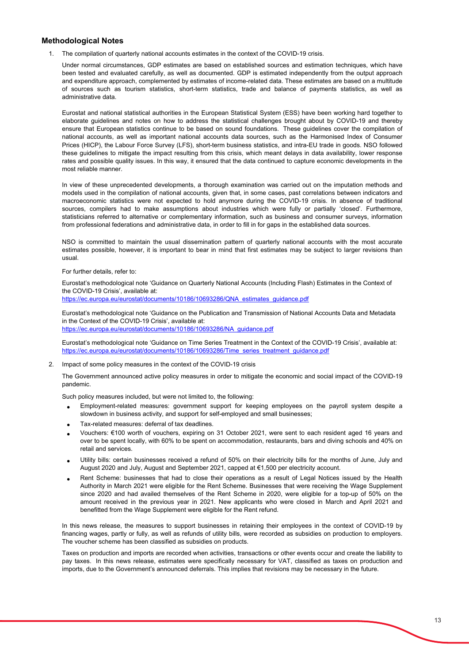#### **Methodological Notes**

1. The compilation of quarterly national accounts estimates in the context of the COVID-19 crisis.

Under normal circumstances, GDP estimates are based on established sources and estimation techniques, which have been tested and evaluated carefully, as well as documented. GDP is estimated independently from the output approach and expenditure approach, complemented by estimates of income-related data. These estimates are based on a multitude of sources such as tourism statistics, short-term statistics, trade and balance of payments statistics, as well as administrative data.

Eurostat and national statistical authorities in the European Statistical System (ESS) have been working hard together to elaborate guidelines and notes on how to address the statistical challenges brought about by COVID-19 and thereby ensure that European statistics continue to be based on sound foundations. These guidelines cover the compilation of national accounts, as well as important national accounts data sources, such as the Harmonised Index of Consumer Prices (HICP), the Labour Force Survey (LFS), short-term business statistics, and intra-EU trade in goods. NSO followed these guidelines to mitigate the impact resulting from this crisis, which meant delays in data availability, lower response rates and possible quality issues. In this way, it ensured that the data continued to capture economic developments in the most reliable manner.

In view of these unprecedented developments, a thorough examination was carried out on the imputation methods and models used in the compilation of national accounts, given that, in some cases, past correlations between indicators and macroeconomic statistics were not expected to hold anymore during the COVID-19 crisis. In absence of traditional sources, compilers had to make assumptions about industries which were fully or partially 'closed'. Furthermore, statisticians referred to alternative or complementary information, such as business and consumer surveys, information from professional federations and administrative data, in order to fill in for gaps in the established data sources.

NSO is committed to maintain the usual dissemination pattern of quarterly national accounts with the most accurate estimates possible, however, it is important to bear in mind that first estimates may be subject to larger revisions than usual.

#### For further details, refer to:

Eurostat's methodological note 'Guidance on Quarterly National Accounts (Including Flash) Estimates in the Context of the COVID-19 Crisis', available at:

https://ec.europa.eu/eurostat/documents/10186/10693286/QNA\_estimates\_guidance.pdf

Eurostat's methodological note 'Guidance on the Publication and Transmission of National Accounts Data and Metadata in the Context of the COVID-19 Crisis', available at: https://ec.europa.eu/eurostat/documents/10186/10693286/NA\_guidance.pdf

Eurostat's methodological note 'Guidance on Time Series Treatment in the Context of the COVID-19 Crisis', available at: https://ec.europa.eu/eurostat/documents/10186/10693286/Time\_series\_treatment\_guidance.pdf

#### 2. Impact of some policy measures in the context of the COVID-19 crisis

The Government announced active policy measures in order to mitigate the economic and social impact of the COVID-19 pandemic.

Such policy measures included, but were not limited to, the following:

- Employment-related measures: government support for keeping employees on the payroll system despite a slowdown in business activity, and support for self-employed and small businesses;
- Tax-related measures: deferral of tax deadlines.
- Vouchers: €100 worth of vouchers, expiring on 31 October 2021, were sent to each resident aged 16 years and over to be spent locally, with 60% to be spent on accommodation, restaurants, bars and diving schools and 40% on retail and services.
- Utility bills: certain businesses received a refund of 50% on their electricity bills for the months of June, July and August 2020 and July, August and September 2021, capped at €1,500 per electricity account.
- Rent Scheme: businesses that had to close their operations as a result of Legal Notices issued by the Health Authority in March 2021 were eligible for the Rent Scheme. Businesses that were receiving the Wage Supplement since 2020 and had availed themselves of the Rent Scheme in 2020, were eligible for a top-up of 50% on the amount received in the previous year in 2021. New applicants who were closed in March and April 2021 and benefitted from the Wage Supplement were eligible for the Rent refund.

In this news release, the measures to support businesses in retaining their employees in the context of COVID-19 by financing wages, partly or fully, as well as refunds of utility bills, were recorded as subsidies on production to employers. The voucher scheme has been classified as subsidies on products.

Taxes on production and imports are recorded when activities, transactions or other events occur and create the liability to pay taxes. In this news release, estimates were specifically necessary for VAT, classified as taxes on production and imports, due to the Government's announced deferrals. This implies that revisions may be necessary in the future.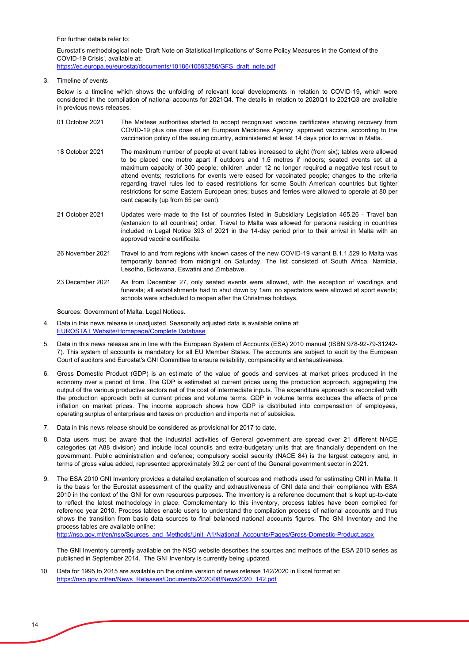For further details refer to:

Eurostat's methodological note 'Draft Note on Statistical Implications of Some Policy Measures in the Context of the COVID-19 Crisis', available at:

https://ec.europa.eu/eurostat/documents/10186/10693286/GFS\_draft\_note.pdf

3. Timeline of events

Below is a timeline which shows the unfolding of relevant local developments in relation to COVID-19, which were considered in the compilation of national accounts for 2021Q4. The details in relation to 2020Q1 to 2021Q3 are available in previous news releases.

- The Maltese authorities started to accept recognised vaccine certificates showing recovery from COVID-19 plus one dose of an European Medicines Agency approved vaccine, according to the vaccination policy of the issuing country, administered at least 14 days prior to arrival in Malta. 01 October 2021
- 18 October 2021 The maximum number of people at event tables increased to eight (from six); tables were allowed to be placed one metre apart if outdoors and 1.5 metres if indoors; seated events set at a maximum capacity of 300 people; children under 12 no longer required a negative test result to attend events; restrictions for events were eased for vaccinated people; changes to the criteria regarding travel rules led to eased restrictions for some South American countries but tighter restrictions for some Eastern European ones; buses and ferries were allowed to operate at 80 per cent capacity (up from 65 per cent).
- Updates were made to the list of countries listed in Subsidiary Legislation 465.26 Travel ban (extension to all countries) order. Travel to Malta was allowed for persons residing in countries included in Legal Notice 393 of 2021 in the 14-day period prior to their arrival in Malta with an approved vaccine certificate. 21 October 2021
- 26 November 2021 Travel to and from regions with known cases of the new COVID-19 variant B.1.1.529 to Malta was temporarily banned from midnight on Saturday. The list consisted of South Africa, Namibia, Lesotho, Botswana, Eswatini and Zimbabwe.
- As from December 27, only seated events were allowed, with the exception of weddings and funerals; all establishments had to shut down by 1am; no spectators were allowed at sport events; schools were scheduled to reopen after the Christmas holidays. 23 December 2021

Sources: Government of Malta, Legal Notices.

- 4. Data in this news release is unadjusted. Seasonally adjusted data is available online at: [EUROSTAT Website/Homepage/Complete Database](https://ec.europa.eu/eurostat/data/database)
- 5. Data in this news release are in line with the European System of Accounts (ESA) 2010 manual (ISBN 978-92-79-31242- 7). This system of accounts is mandatory for all EU Member States. The accounts are subject to audit by the European Court of auditors and Eurostat's GNI Committee to ensure reliability, comparability and exhaustiveness.
- 6. Gross Domestic Product (GDP) is an estimate of the value of goods and services at market prices produced in the economy over a period of time. The GDP is estimated at current prices using the production approach, aggregating the output of the various productive sectors net of the cost of intermediate inputs. The expenditure approach is reconciled with the production approach both at current prices and volume terms. GDP in volume terms excludes the effects of price inflation on market prices. The income approach shows how GDP is distributed into compensation of employees, operating surplus of enterprises and taxes on production and imports net of subsidies.
- 7. Data in this news release should be considered as provisional for 2017 to date.
- 8. Data users must be aware that the industrial activities of General government are spread over 21 different NACE categories (at A88 division) and include local councils and extra-budgetary units that are financially dependent on the government. Public administration and defence; compulsory social security (NACE 84) is the largest category and, in terms of gross value added, represented approximately 39.2 per cent of the General government sector in 2021.
- 9. The ESA 2010 GNI Inventory provides a detailed explanation of sources and methods used for estimating GNI in Malta. It is the basis for the Eurostat assessment of the quality and exhaustiveness of GNI data and their compliance with ESA 2010 in the context of the GNI for own resources purposes. The Inventory is a reference document that is kept up-to-date to reflect the latest methodology in place. Complementary to this inventory, process tables have been compiled for reference year 2010. Process tables enable users to understand the compilation process of national accounts and thus shows the transition from basic data sources to final balanced national accounts figures. The GNI Inventory and the process tables are available online:

http://nso.gov.mt/en/nso/Sources\_and\_Methods/Unit\_A1/National\_Accounts/Pages/Gross-Domestic-Product.aspx

The GNI Inventory currently available on the NSO website describes the sources and methods of the ESA 2010 series as published in September 2014. The GNI Inventory is currently being updated.

10. Data for 1995 to 2015 are available on the online version of news release 142/2020 in Excel format at: https://nso.gov.mt/en/News\_Releases/Documents/2020/08/News2020\_142.pdf